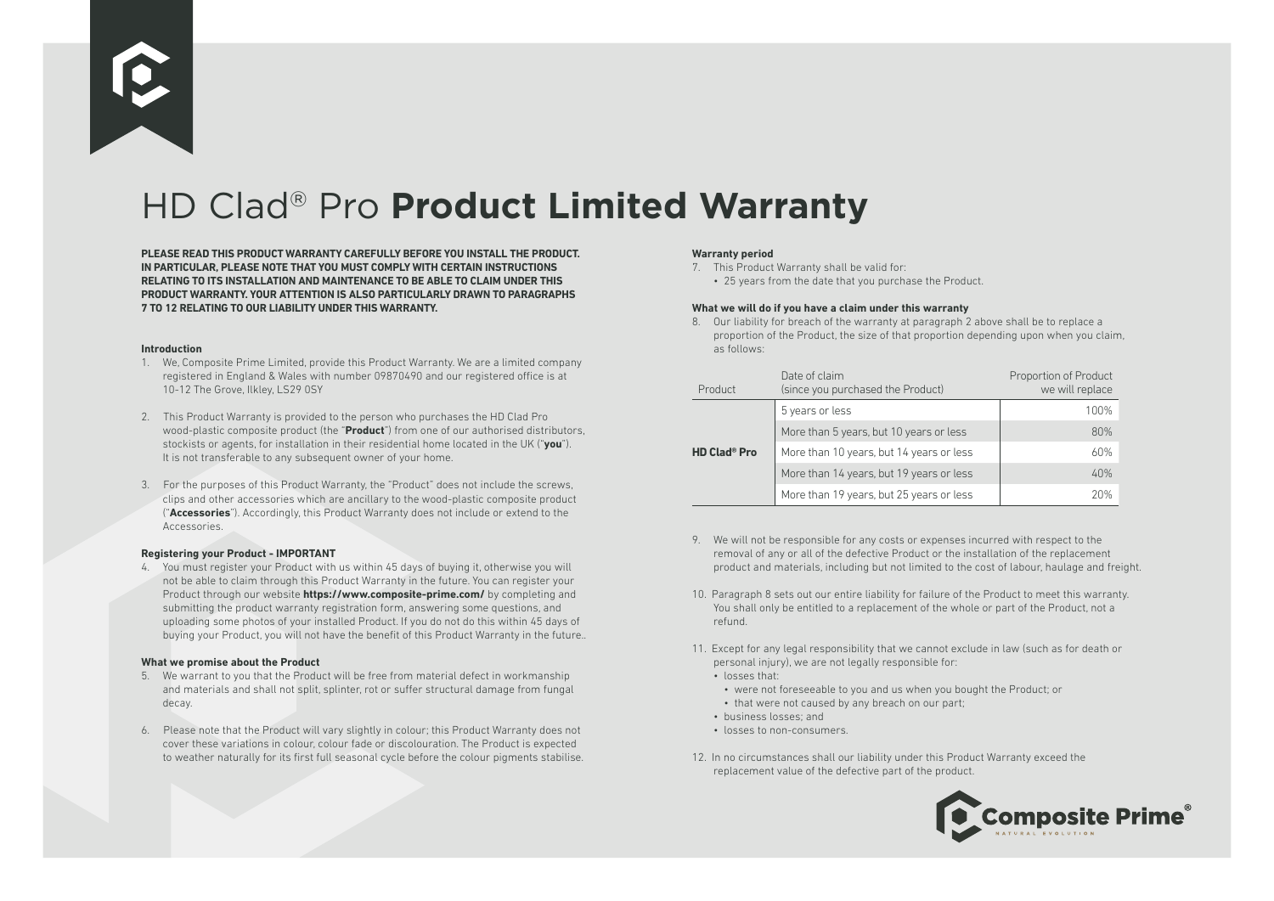

# HD Clad® Pro **Product Limited Warranty**

**PLEASE READ THIS PRODUCT WARRANTY CAREFULLY BEFORE YOU INSTALL THE PRODUCT. IN PARTICULAR, PLEASE NOTE THAT YOU MUST COMPLY WITH CERTAIN INSTRUCTIONS RELATING TO ITS INSTALLATION AND MAINTENANCE TO BE ABLE TO CLAIM UNDER THIS PRODUCT WARRANTY. YOUR ATTENTION IS ALSO PARTICULARLY DRAWN TO PARAGRAPHS 7 TO 12 RELATING TO OUR LIABILITY UNDER THIS WARRANTY.**

#### **Introduction**

- 1. We, Composite Prime Limited, provide this Product Warranty. We are a limited company registered in England & Wales with number 09870490 and our registered office is at 10-12 The Grove, Ilkley, LS29 0SY
- 2. This Product Warranty is provided to the person who purchases the HD Clad Pro wood-plastic composite product (the "**Product**") from one of our authorised distributors, stockists or agents, for installation in their residential home located in the UK ("**you**"). It is not transferable to any subsequent owner of your home.
- 3. For the purposes of this Product Warranty, the "Product" does not include the screws, clips and other accessories which are ancillary to the wood-plastic composite product ("**Accessories**"). Accordingly, this Product Warranty does not include or extend to the Accessories.

### **Registering your Product - IMPORTANT**

4. You must register your Product with us within 45 days of buying it, otherwise you will not be able to claim through this Product Warranty in the future. You can register your Product through our website **https://www.composite-prime.com/** by completing and submitting the product warranty registration form, answering some questions, and uploading some photos of your installed Product. If you do not do this within 45 days of buying your Product, you will not have the benefit of this Product Warranty in the future..

### **What we promise about the Product**

- 5. We warrant to you that the Product will be free from material defect in workmanship and materials and shall not split, splinter, rot or suffer structural damage from fungal decay.
- 6. Please note that the Product will vary slightly in colour; this Product Warranty does not cover these variations in colour, colour fade or discolouration. The Product is expected to weather naturally for its first full seasonal cycle before the colour pigments stabilise.

### **Warranty period**

- 7. This Product Warranty shall be valid for:
	- 25 years from the date that you purchase the Product.

### **What we will do if you have a claim under this warranty**

8. Our liability for breach of the warranty at paragraph 2 above shall be to replace a proportion of the Product, the size of that proportion depending upon when you claim, as follows:

| Product                        | Date of claim<br>(since you purchased the Product) | Proportion of Product<br>we will replace |
|--------------------------------|----------------------------------------------------|------------------------------------------|
| <b>HD Clad<sup>®</sup> Pro</b> | 5 years or less                                    | 100%                                     |
|                                | More than 5 years, but 10 years or less            | 80%                                      |
|                                | More than 10 years, but 14 years or less           | 60%                                      |
|                                | More than 14 years, but 19 years or less           | 40%                                      |
|                                | More than 19 years, but 25 years or less           | 20%                                      |

- 9. We will not be responsible for any costs or expenses incurred with respect to the removal of any or all of the defective Product or the installation of the replacement product and materials, including but not limited to the cost of labour, haulage and freight.
- 10. Paragraph 8 sets out our entire liability for failure of the Product to meet this warranty. You shall only be entitled to a replacement of the whole or part of the Product, not a refund.
- 11. Except for any legal responsibility that we cannot exclude in law (such as for death or personal injury), we are not legally responsible for:
	- losses that:
	- were not foreseeable to you and us when you bought the Product; or
	- that were not caused by any breach on our part;
	- business losses; and
	- losses to non-consumers.
- 12. In no circumstances shall our liability under this Product Warranty exceed the replacement value of the defective part of the product.